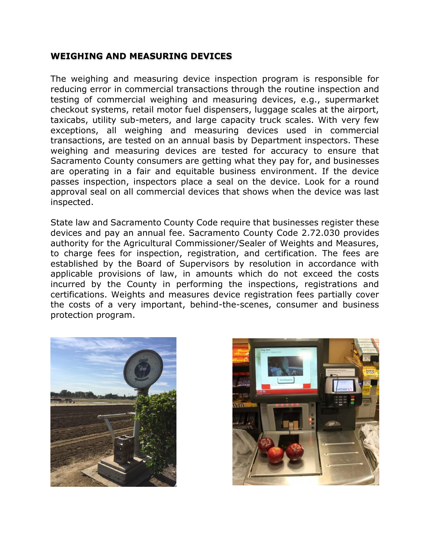## **WEIGHING AND MEASURING DEVICES**

The weighing and measuring device inspection program is responsible for reducing error in commercial transactions through the routine inspection and testing of commercial weighing and measuring devices, e.g., supermarket checkout systems, retail motor fuel dispensers, luggage scales at the airport, taxicabs, utility sub-meters, and large capacity truck scales. With very few exceptions, all weighing and measuring devices used in commercial transactions, are tested on an annual basis by Department inspectors. These weighing and measuring devices are tested for accuracy to ensure that Sacramento County consumers are getting what they pay for, and businesses are operating in a fair and equitable business environment. If the device passes inspection, inspectors place a seal on the device. Look for a round approval seal on all commercial devices that shows when the device was last inspected.

State law and Sacramento County Code require that businesses [register these](http://www.sandiegocounty.gov/content/sdc/awm/WM_New/device-and-pos-registration.html?cq_ck=1422629903410)  [devices and pay an annual fee.](http://www.sandiegocounty.gov/content/sdc/awm/WM_New/device-and-pos-registration.html?cq_ck=1422629903410) Sacramento County Code 2.72.030 provides authority for the Agricultural Commissioner/Sealer of Weights and Measures, to charge fees for inspection, registration, and certification. The fees are established by the Board of Supervisors by resolution in accordance with applicable provisions of law, in amounts which do not exceed the costs incurred by the County in performing the inspections, registrations and certifications. Weights and measures device registration fees partially cover the costs of a very important, behind-the-scenes, consumer and business protection program.